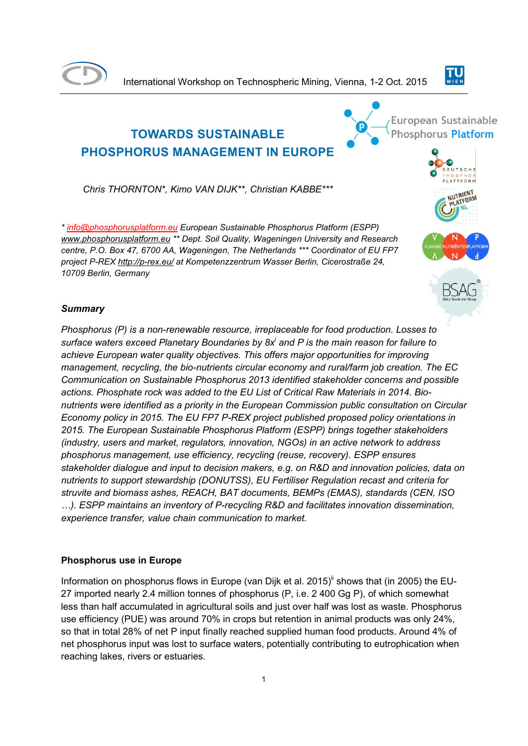

International Workshop on Technospheric Mining, Vienna, 1-2 Oct. 2015



# **TOWARDS SUSTAINABLE PHOSPHORUS MANAGEMENT IN EUROPE**

*Chris THORNTON\*, Kimo VAN DIJK\*\*, Christian KABBE\*\*\**

*\* info@phosphorusplatform.eu European Sustainable Phosphorus Platform (ESPP) www.phosphorusplatform.eu \*\* Dept. Soil Quality, Wageningen University and Research centre, P.O. Box 47, 6700 AA, Wageningen, The Netherlands \*\*\* Coordinator of EU FP7 project P-REX http://p-rex.eu/ at Kompetenzzentrum Wasser Berlin, Cicerostraße 24, 10709 Berlin, Germany*





ATTFORM



## *Summary*

*Phosphorus (P) is a non-renewable resource, irreplaceable for food production. Losses to surface waters exceed Planetary Boundaries by 8x<sup>i</sup> and P is the main reason for failure to achieve European water quality objectives. This offers major opportunities for improving management, recycling, the bio-nutrients circular economy and rural/farm job creation. The EC Communication on Sustainable Phosphorus 2013 identified stakeholder concerns and possible actions. Phosphate rock was added to the EU List of Critical Raw Materials in 2014. Bionutrients were identified as a priority in the European Commission public consultation on Circular Economy policy in 2015. The EU FP7 P-REX project published proposed policy orientations in 2015. The European Sustainable Phosphorus Platform (ESPP) brings together stakeholders (industry, users and market, regulators, innovation, NGOs) in an active network to address phosphorus management, use efficiency, recycling (reuse, recovery). ESPP ensures stakeholder dialogue and input to decision makers, e.g. on R&D and innovation policies, data on nutrients to support stewardship (DONUTSS), EU Fertiliser Regulation recast and criteria for struvite and biomass ashes, REACH, BAT documents, BEMPs (EMAS), standards (CEN, ISO …). ESPP maintains an inventory of P-recycling R&D and facilitates innovation dissemination, experience transfer, value chain communication to market.*

## **Phosphorus use in Europe**

Information on phosphorus flows in Europe (van Dijk et al. 2015)<sup>ii</sup> shows that (in 2005) the EU-27 imported nearly 2.4 million tonnes of phosphorus (P, i.e. 2 400 Gg P), of which somewhat less than half accumulated in agricultural soils and just over half was lost as waste. Phosphorus use efficiency (PUE) was around 70% in crops but retention in animal products was only 24%, so that in total 28% of net P input finally reached supplied human food products. Around 4% of net phosphorus input was lost to surface waters, potentially contributing to eutrophication when reaching lakes, rivers or estuaries.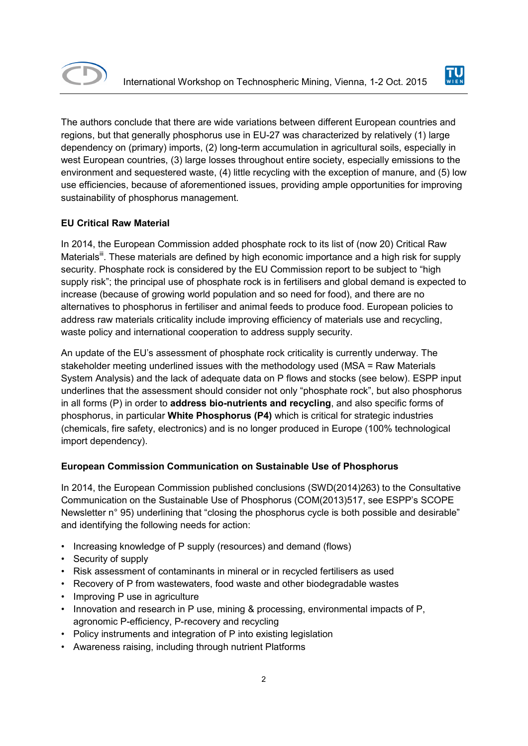



The authors conclude that there are wide variations between different European countries and regions, but that generally phosphorus use in EU-27 was characterized by relatively (1) large dependency on (primary) imports, (2) long-term accumulation in agricultural soils, especially in west European countries, (3) large losses throughout entire society, especially emissions to the environment and sequestered waste, (4) little recycling with the exception of manure, and (5) low use efficiencies, because of aforementioned issues, providing ample opportunities for improving sustainability of phosphorus management.

## **EU Critical Raw Material**

In 2014, the European Commission added phosphate rock to its list of (now 20) Critical Raw Materials<sup>iii</sup>. These materials are defined by high economic importance and a high risk for supply security. Phosphate rock is considered by the EU Commission report to be subject to "high supply risk"; the principal use of phosphate rock is in fertilisers and global demand is expected to increase (because of growing world population and so need for food), and there are no alternatives to phosphorus in fertiliser and animal feeds to produce food. European policies to address raw materials criticality include improving efficiency of materials use and recycling, waste policy and international cooperation to address supply security.

An update of the EU's assessment of phosphate rock criticality is currently underway. The stakeholder meeting underlined issues with the methodology used (MSA = Raw Materials System Analysis) and the lack of adequate data on P flows and stocks (see below). ESPP input underlines that the assessment should consider not only "phosphate rock", but also phosphorus in all forms (P) in order to **address bio-nutrients and recycling**, and also specific forms of phosphorus, in particular **White Phosphorus (P4)** which is critical for strategic industries (chemicals, fire safety, electronics) and is no longer produced in Europe (100% technological import dependency).

## **European Commission Communication on Sustainable Use of Phosphorus**

In 2014, the European Commission published conclusions (SWD(2014)263) to the Consultative Communication on the Sustainable Use of Phosphorus (COM(2013)517, see ESPP's SCOPE Newsletter n° 95) underlining that "closing the phosphorus cycle is both possible and desirable" and identifying the following needs for action:

- Increasing knowledge of P supply (resources) and demand (flows)
- Security of supply
- Risk assessment of contaminants in mineral or in recycled fertilisers as used
- Recovery of P from wastewaters, food waste and other biodegradable wastes
- Improving P use in agriculture
- Innovation and research in P use, mining & processing, environmental impacts of P, agronomic P-efficiency, P-recovery and recycling
- Policy instruments and integration of P into existing legislation
- Awareness raising, including through nutrient Platforms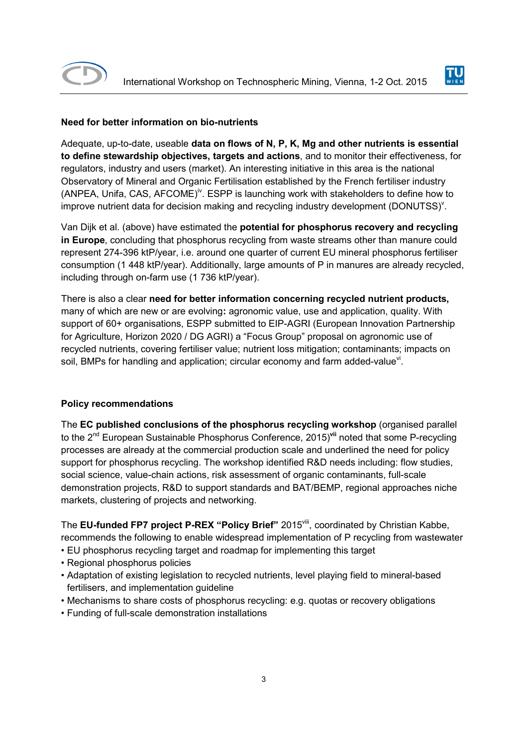



## **Need for better information on bio-nutrients**

Adequate, up-to-date, useable **data on flows of N, P, K, Mg and other nutrients is essential to define stewardship objectives, targets and actions**, and to monitor their effectiveness, for regulators, industry and users (market). An interesting initiative in this area is the national Observatory of Mineral and Organic Fertilisation established by the French fertiliser industry (ANPEA, Unifa, CAS, AFCOME)<sup>iv</sup>. ESPP is launching work with stakeholders to define how to improve nutrient data for decision making and recycling industry development (DONUTSS) $^{\vee}$ .

Van Dijk et al. (above) have estimated the **potential for phosphorus recovery and recycling in Europe**, concluding that phosphorus recycling from waste streams other than manure could represent 274-396 ktP/year, i.e. around one quarter of current EU mineral phosphorus fertiliser consumption (1 448 ktP/year). Additionally, large amounts of P in manures are already recycled, including through on-farm use (1 736 ktP/year).

There is also a clear **need for better information concerning recycled nutrient products,**  many of which are new or are evolving**:** agronomic value, use and application, quality. With support of 60+ organisations, ESPP submitted to EIP-AGRI (European Innovation Partnership for Agriculture, Horizon 2020 / DG AGRI) a "Focus Group" proposal on agronomic use of recycled nutrients, covering fertiliser value; nutrient loss mitigation; contaminants; impacts on soil, BMPs for handling and application; circular economy and farm added-value<sup>vi</sup>.

## **Policy recommendations**

The **EC published conclusions of the phosphorus recycling workshop** (organised parallel to the 2<sup>nd</sup> European Sustainable Phosphorus Conference, 2015)<sup>vii</sup> noted that some P-recycling processes are already at the commercial production scale and underlined the need for policy support for phosphorus recycling. The workshop identified R&D needs including: flow studies, social science, value-chain actions, risk assessment of organic contaminants, full-scale demonstration projects, R&D to support standards and BAT/BEMP, regional approaches niche markets, clustering of projects and networking.

The **EU-funded FP7 project P-REX "Policy Brief"** 2015viii, coordinated by Christian Kabbe, recommends the following to enable widespread implementation of P recycling from wastewater

- EU phosphorus recycling target and roadmap for implementing this target
- Regional phosphorus policies
- Adaptation of existing legislation to recycled nutrients, level playing field to mineral-based fertilisers, and implementation guideline
- Mechanisms to share costs of phosphorus recycling: e.g. quotas or recovery obligations
- Funding of full-scale demonstration installations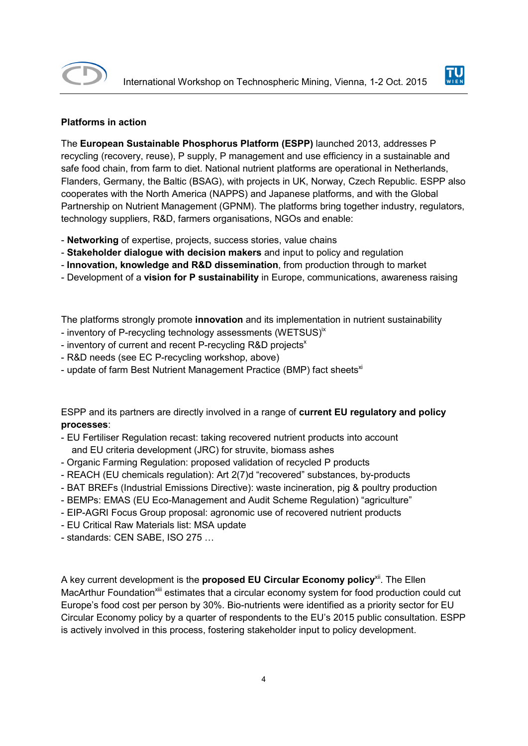



## **Platforms in action**

The **European Sustainable Phosphorus Platform (ESPP)** launched 2013, addresses P recycling (recovery, reuse), P supply, P management and use efficiency in a sustainable and safe food chain, from farm to diet. National nutrient platforms are operational in Netherlands, Flanders, Germany, the Baltic (BSAG), with projects in UK, Norway, Czech Republic. ESPP also cooperates with the North America (NAPPS) and Japanese platforms, and with the Global Partnership on Nutrient Management (GPNM). The platforms bring together industry, regulators, technology suppliers, R&D, farmers organisations, NGOs and enable:

- **Networking** of expertise, projects, success stories, value chains
- **Stakeholder dialogue with decision makers** and input to policy and regulation
- **Innovation, knowledge and R&D dissemination**, from production through to market
- Development of a **vision for P sustainability** in Europe, communications, awareness raising

The platforms strongly promote **innovation** and its implementation in nutrient sustainability

- inventory of P-recycling technology assessments (WETSUS)<sup>ix</sup>
- inventory of current and recent P-recycling R&D projects<sup>x</sup>
- R&D needs (see EC P-recycling workshop, above)
- update of farm Best Nutrient Management Practice (BMP) fact sheets<sup>xi</sup>

ESPP and its partners are directly involved in a range of **current EU regulatory and policy processes**:

- EU Fertiliser Regulation recast: taking recovered nutrient products into account and EU criteria development (JRC) for struvite, biomass ashes
- Organic Farming Regulation: proposed validation of recycled P products
- REACH (EU chemicals regulation): Art 2(7)d "recovered" substances, by-products
- BAT BREFs (Industrial Emissions Directive): waste incineration, pig & poultry production
- BEMPs: EMAS (EU Eco-Management and Audit Scheme Regulation) "agriculture"
- EIP-AGRI Focus Group proposal: agronomic use of recovered nutrient products
- EU Critical Raw Materials list: MSA update
- standards: CEN SABE, ISO 275 …

A key current development is the **proposed EU Circular Economy policy**xii. The Ellen MacArthur Foundation<sup>xiii</sup> estimates that a circular economy system for food production could cut Europe's food cost per person by 30%. Bio-nutrients were identified as a priority sector for EU Circular Economy policy by a quarter of respondents to the EU's 2015 public consultation. ESPP is actively involved in this process, fostering stakeholder input to policy development.